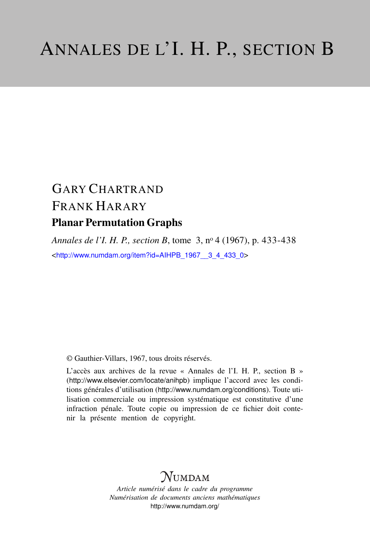# GARY CHARTRAND FRANK HARARY Planar Permutation Graphs

*Annales de l'I. H. P., section B*, tome 3, n<sup>o</sup> 4 (1967), p. 433-438 <[http://www.numdam.org/item?id=AIHPB\\_1967\\_\\_3\\_4\\_433\\_0](http://www.numdam.org/item?id=AIHPB_1967__3_4_433_0)>

© Gauthier-Villars, 1967, tous droits réservés.

L'accès aux archives de la revue « Annales de l'I. H. P., section B » (<http://www.elsevier.com/locate/anihpb>) implique l'accord avec les conditions générales d'utilisation (<http://www.numdam.org/conditions>). Toute utilisation commerciale ou impression systématique est constitutive d'une infraction pénale. Toute copie ou impression de ce fichier doit contenir la présente mention de copyright.

## **NUMDAM**

*Article numérisé dans le cadre du programme Numérisation de documents anciens mathématiques* <http://www.numdam.org/>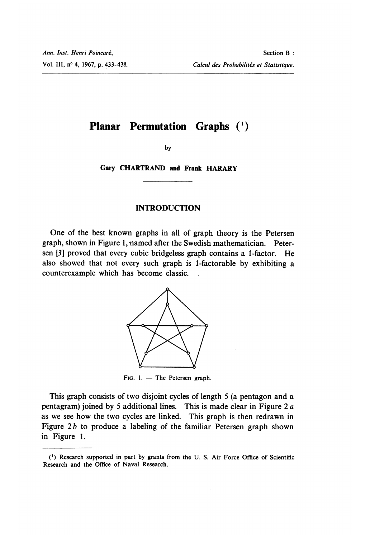### Planar Permutation Graphs (1)

by

Gary CHARTRAND and Frank HARARY

#### INTRODUCTION

One of the best known graphs in all of graph theory is the Petersen graph, shown in Figure 1, named after the Swedish mathematician. Petersen [3] proved that every cubic bridgeless graph contains a I-factor. He also showed that not every such graph is 1-factorable by exhibiting a counterexample which has become classic.



FIG.  $1.$  - The Petersen graph.

This graph consists of two disjoint cycles of length 5 (a pentagon and a pentagram) joined by 5 additional lines. This is made clear in Figure 2 a as we see how the two cycles are linked. This graph is then redrawn in Figure  $2b$  to produce a labeling of the familiar Petersen graph shown in Figure 1.

<sup>(~)</sup> Research supported in part by grants from the U. S. Air Force Office of Scientific Research and the Office of Naval Research.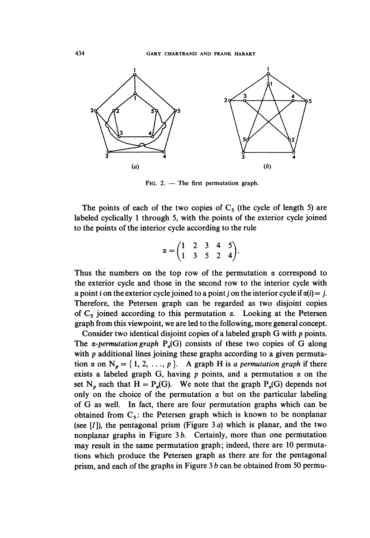

FIG. 2.  $-$  The first permutation graph.

The points of each of the two copies of  $C_5$  (the cycle of length 5) are labeled cyclically 1 through 5, with the points of the exterior cycle joined to the points of the interior cycle according to the rule

$$
\alpha = \begin{pmatrix} 1 & 2 & 3 & 4 & 5 \\ 1 & 3 & 5 & 2 & 4 \end{pmatrix}.
$$

Thus the numbers on the top row of the permutation  $\alpha$  correspond to the exterior cycle and those in the second row to the interior cycle with a point *i* on the exterior cycle joined to a point *j* on the interior cycle if  $\alpha(i) = j$ . Therefore, the Petersen graph can be regarded as two disjoint copies of  $C_5$  joined according to this permutation  $\alpha$ . Looking at the Petersen graph from this viewpoint, we are led to the following, more general concept.

Consider two identical disjoint copies of a labeled graph G with p points. The  $\alpha$ -permutation graph  $P_{\alpha}(G)$  consists of these two copies of G along with p additional lines joining these graphs according to a given permutation  $\alpha$  on  $N_p = \{1, 2, ..., p\}$ . A graph H is a permutation graph if there exists a labeled graph G, having p points, and a permutation  $\alpha$  on the set N<sub>p</sub> such that  $H = P_{\alpha}(G)$ . We note that the graph  $P_{\alpha}(G)$  depends not only on the choice of the permutation  $\alpha$  but on the particular labeling of G as well. In fact, there are four permutation graphs which can be obtained from  $C_5$ : the Petersen graph which is known to be nonplanar (see  $[I]$ ), the pentagonal prism (Figure 3*a*) which is planar, and the two nonplanar graphs in Figure  $3 b$ . Certainly, more than one permutation may result in the same permutation graph; indeed, there are 10 permutations which produce the Petersen graph as there are for the pentagonal prism, and each of the graphs in Figure  $3 b$  can be obtained from 50 permu-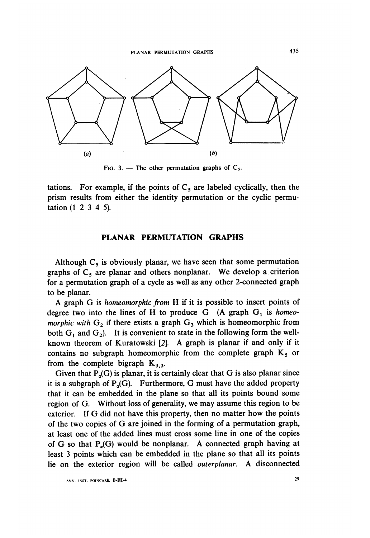

FIG. 3. - The other permutation graphs of  $C_5$ .

tations. For example, if the points of  $C_5$  are labeled cyclically, then the prism results from either the identity permutation or the cyclic permutation  $(1 \ 2 \ 3 \ 4 \ 5)$ .

#### PLANAR PERMUTATION GRAPHS

Although  $C_5$  is obviously planar, we have seen that some permutation graphs of  $C_5$  are planar and others nonplanar. We develop a criterion for a permutation graph of a cycle as well as any other 2-connected graph to be planar.

A graph G is homeomorphic from H if it is possible to insert points of degree two into the lines of H to produce  $G$  (A graph  $G_1$  is homeomorphic with  $G_2$  if there exists a graph  $G_3$  which is homeomorphic from both  $G_1$  and  $G_2$ ). It is convenient to state in the following form the wellknown theorem of Kuratowski [2]. A graph is planar if and only if it contains no subgraph homeomorphic from the complete graph  $K_5$  or<br>from the complete bigraph  $K_{3,3}$ .<br>Given that  $P(G)$  is along it is extend we does that G is also along since

Given that  $P_a(G)$  is planar, it is certainly clear that G is also planar since it is a subgraph of  $P_n(G)$ . Furthermore, G must have the added property that it can be embedded in the plane so that all its points bound some region of G. Without loss of generality, we may assume this region to be exterior. If G did not have this property, then no matter how the points of the two copies of G are joined. in the forming of a permutation graph, at least one of the added lines must cross some line in one of the copies of G so that  $P_a(G)$  would be nonplanar. A connected graph having at least 3 points which can be embedded in the plane so that all its points lie on the exterior region will be called outerplanar. A disconnected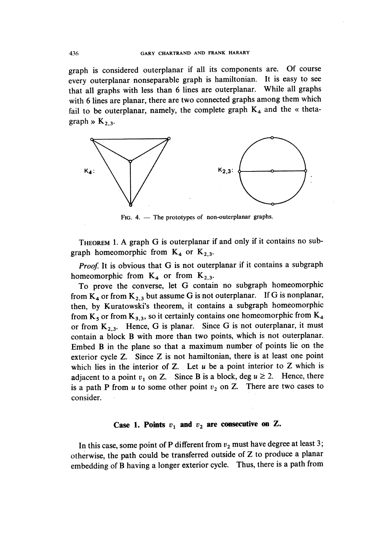graph is considered outerplanar if all its components are. Of course every outerplanar nonseparable graph is hamiltonian. It is easy to see that all graphs with less than 6 lines are outerplanar. While all graphs with 6 lines are planar, there are two connected graphs among them which fail to be outerplanar, namely, the complete graph  $K_4$  and the « thetagraph »  $K_{2,3}$ .



FIG.  $4.$  - The prototypes of non-outerplanar graphs.

THEOREM 1. A graph G is outerplanar if and only if it contains no subgraph homeomorphic from  $K_4$  or  $K_{2,3}$ .

Proof. It is obvious that G is not outerplanar if it contains a subgraph homeomorphic from  $K_4$  or from  $K_{2,3}$ .

To prove the converse, let G contain no subgraph homeomorphic from  $K_4$  or from  $K_{2,3}$  but assume G is not outerplanar. If G is nonplanar, then, by Kuratowski's theorem, it contains a subgraph homeomorphic from  $K_5$  or from  $K_{3,3}$ , so it certainly contains one homeomorphic from  $K_4$ or from  $K_{2,3}$ . Hence, G is planar. Since G is not outerplanar, it must contain a block B with more than two points, which is not outerplanar. Embed B in the plane so that a maximum number of points lie on the exterior cycle Z. Since Z is not hamiltonian, there is at least one point which lies in the interior of  $Z$ . Let  $u$  be a point interior to  $Z$  which is adjacent to a point  $v_1$  on Z. Since B is a block, deg  $u \ge 2$ . Hence, there is a path P from  $u$  to some other point  $v_2$  on Z. There are two cases to consider.

#### Case 1. Points  $v_1$  and  $v_2$  are consecutive on Z.

In this case, some point of P different from  $v_2$  must have degree at least 3; otherwise, the path could be transferred outside of  $Z$  to produce a planar embedding of B having a longer exterior cycle. Thus, there is a path from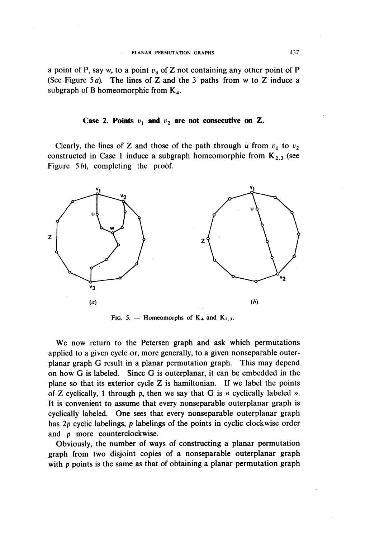a point of P, say w, to a point  $v_3$  of Z not containing any other point of P (See Figure 5a). The lines of Z and the 3 paths from w to Z induce a subgraph of B homeomorphic from  $K<sub>4</sub>$ .

#### Case 2. Points  $v_1$  and  $v_2$  are not consecutive on Z.

Clearly, the lines of Z and those of the path through u from  $v_1$  to  $v_2$ constructed in Case 1 induce a subgraph homeomorphic from  $K_{2,3}$  (see Figure  $5b$ , completing the proof.



FIG. 5. - Homeomorphs of  $K_4$  and  $K_{2,3}$ .

We now return to the Petersen graph and ask which permutations applied to a given cycle or, more generally, to a given nonseparable outerplanar graph G result in a planar permutation graph. This may depend on how G is labeled. Since G is outerplanar, it can be embedded in the plane so that its exterior cycle Z is hamiltonian. If we label the points of Z cyclically, 1 through p, then we say that G is « cyclically labeled ». It is convenient to assume that every nonseparable outerplanar graph is cyclically labeled. One sees that every nonseparable outerplanar graph has 2p cyclic labelings, p labelings of the points in cyclic clockwise order and p more counterclockwise.

Obviously, the number of ways of constructing a planar permutation graph from two disjoint copies of a nonseparable outerplanar graph with p points is the same as that of obtaining a planar permutation graph